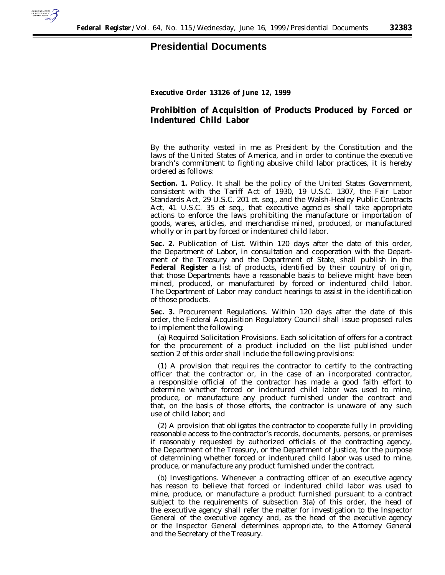

## **Presidential Documents**

**Executive Order 13126 of June 12, 1999**

## **Prohibition of Acquisition of Products Produced by Forced or Indentured Child Labor**

By the authority vested in me as President by the Constitution and the laws of the United States of America, and in order to continue the executive branch's commitment to fighting abusive child labor practices, it is hereby ordered as follows:

**Section. 1.** *Policy.* It shall be the policy of the United States Government, consistent with the Tariff Act of 1930, 19 U.S.C. 1307, the Fair Labor Standards Act, 29 U.S.C. 201 *et. seq.*, and the Walsh-Healey Public Contracts Act, 41 U.S.C. 35 *et seq*., that executive agencies shall take appropriate actions to enforce the laws prohibiting the manufacture or importation of goods, wares, articles, and merchandise mined, produced, or manufactured wholly or in part by forced or indentured child labor.

**Sec. 2.** *Publication of List.* Within 120 days after the date of this order, the Department of Labor, in consultation and cooperation with the Department of the Treasury and the Department of State, shall publish in the **Federal Register** a list of products, identified by their country of origin, that those Departments have a reasonable basis to believe might have been mined, produced, or manufactured by forced or indentured child labor. The Department of Labor may conduct hearings to assist in the identification of those products.

**Sec. 3.** *Procurement Regulations.* Within 120 days after the date of this order, the Federal Acquisition Regulatory Council shall issue proposed rules to implement the following:

(a) *Required Solicitation Provisions.* Each solicitation of offers for a contract for the procurement of a product included on the list published under section 2 of this order shall include the following provisions:

(1) A provision that requires the contractor to certify to the contracting officer that the contractor or, in the case of an incorporated contractor, a responsible official of the contractor has made a good faith effort to determine whether forced or indentured child labor was used to mine, produce, or manufacture any product furnished under the contract and that, on the basis of those efforts, the contractor is unaware of any such use of child labor; and

(2) A provision that obligates the contractor to cooperate fully in providing reasonable access to the contractor's records, documents, persons, or premises if reasonably requested by authorized officials of the contracting agency, the Department of the Treasury, or the Department of Justice, for the purpose of determining whether forced or indentured child labor was used to mine, produce, or manufacture any product furnished under the contract.

(b) *Investigations.* Whenever a contracting officer of an executive agency has reason to believe that forced or indentured child labor was used to mine, produce, or manufacture a product furnished pursuant to a contract subject to the requirements of subsection 3(a) of this order, the head of the executive agency shall refer the matter for investigation to the Inspector General of the executive agency and, as the head of the executive agency or the Inspector General determines appropriate, to the Attorney General and the Secretary of the Treasury.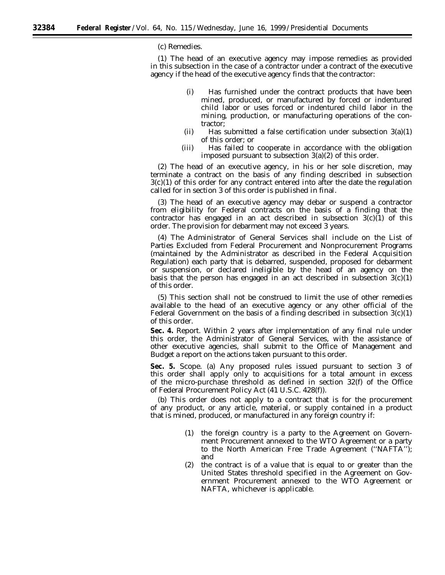(c) *Remedies.*

(1) The head of an executive agency may impose remedies as provided in this subsection in the case of a contractor under a contract of the executive agency if the head of the executive agency finds that the contractor:

- (i) Has furnished under the contract products that have been mined, produced, or manufactured by forced or indentured child labor or uses forced or indentured child labor in the mining, production, or manufacturing operations of the contractor;
- (ii) Has submitted a false certification under subsection  $3(a)(1)$ of this order; or
- (iii) Has failed to cooperate in accordance with the obligation imposed pursuant to subsection 3(a)(2) of this order.

(2) The head of an executive agency, in his or her sole discretion, may terminate a contract on the basis of any finding described in subsection  $3(c)(1)$  of this order for any contract entered into after the date the regulation called for in section 3 of this order is published in final.

(3) The head of an executive agency may debar or suspend a contractor from eligibility for Federal contracts on the basis of a finding that the contractor has engaged in an act described in subsection  $3(c)(1)$  of this order. The provision for debarment may not exceed 3 years.

(4) The Administrator of General Services shall include on the List of Parties Excluded from Federal Procurement and Nonprocurement Programs (maintained by the Administrator as described in the Federal Acquisition Regulation) each party that is debarred, suspended, proposed for debarment or suspension, or declared ineligible by the head of an agency on the basis that the person has engaged in an act described in subsection  $3(c)(1)$ of this order.

(5) This section shall not be construed to limit the use of other remedies available to the head of an executive agency or any other official of the Federal Government on the basis of a finding described in subsection  $3(c)(1)$ of this order.

**Sec. 4.** *Report.* Within 2 years after implementation of any final rule under this order, the Administrator of General Services, with the assistance of other executive agencies, shall submit to the Office of Management and Budget a report on the actions taken pursuant to this order.

**Sec. 5.** *Scope.* (a) Any proposed rules issued pursuant to section 3 of this order shall apply only to acquisitions for a total amount in excess of the micro-purchase threshold as defined in section 32(f) of the Office of Federal Procurement Policy Act (41 U.S.C. 428(f)).

(b) This order does not apply to a contract that is for the procurement of any product, or any article, material, or supply contained in a product that is mined, produced, or manufactured in any foreign country if:

- (1) the foreign country is a party to the Agreement on Government Procurement annexed to the WTO Agreement or a party to the North American Free Trade Agreement (''NAFTA''); and
- (2) the contract is of a value that is equal to or greater than the United States threshold specified in the Agreement on Government Procurement annexed to the WTO Agreement or NAFTA, whichever is applicable.